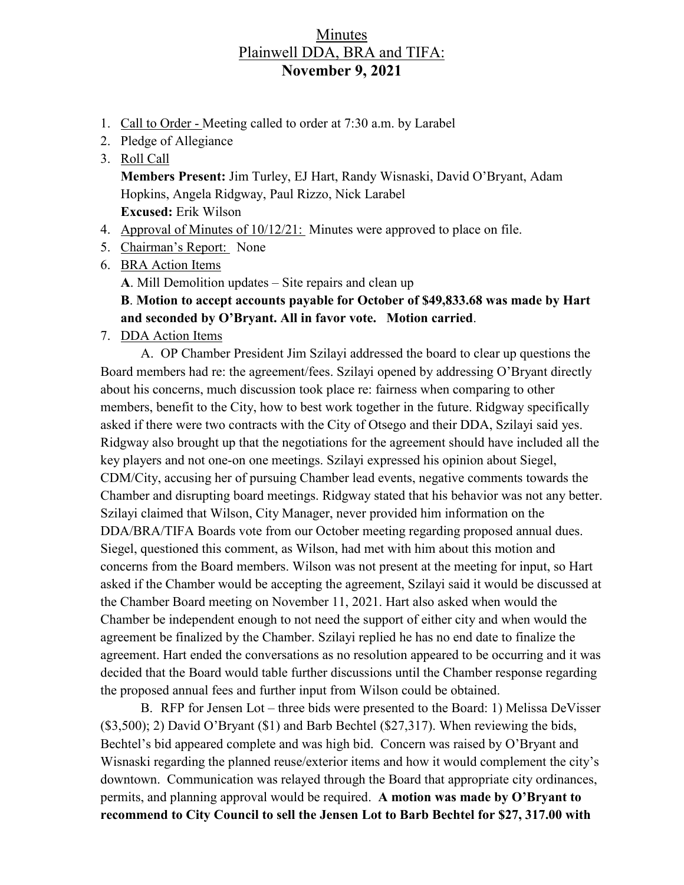## Minutes Plainwell DDA, BRA and TIFA: **November 9, 2021**

- 1. Call to Order Meeting called to order at 7:30 a.m. by Larabel
- 2. Pledge of Allegiance
- 3. Roll Call

**Members Present:** Jim Turley, EJ Hart, Randy Wisnaski, David O'Bryant, Adam Hopkins, Angela Ridgway, Paul Rizzo, Nick Larabel **Excused:** Erik Wilson

- 4. Approval of Minutes of 10/12/21: Minutes were approved to place on file.
- 5. Chairman's Report: None
- 6. BRA Action Items

**A**. Mill Demolition updates – Site repairs and clean up

## **B**. **Motion to accept accounts payable for October of \$49,833.68 was made by Hart and seconded by O'Bryant. All in favor vote. Motion carried**.

7. DDA Action Items

A. OP Chamber President Jim Szilayi addressed the board to clear up questions the Board members had re: the agreement/fees. Szilayi opened by addressing O'Bryant directly about his concerns, much discussion took place re: fairness when comparing to other members, benefit to the City, how to best work together in the future. Ridgway specifically asked if there were two contracts with the City of Otsego and their DDA, Szilayi said yes. Ridgway also brought up that the negotiations for the agreement should have included all the key players and not one-on one meetings. Szilayi expressed his opinion about Siegel, CDM/City, accusing her of pursuing Chamber lead events, negative comments towards the Chamber and disrupting board meetings. Ridgway stated that his behavior was not any better. Szilayi claimed that Wilson, City Manager, never provided him information on the DDA/BRA/TIFA Boards vote from our October meeting regarding proposed annual dues. Siegel, questioned this comment, as Wilson, had met with him about this motion and concerns from the Board members. Wilson was not present at the meeting for input, so Hart asked if the Chamber would be accepting the agreement, Szilayi said it would be discussed at the Chamber Board meeting on November 11, 2021. Hart also asked when would the Chamber be independent enough to not need the support of either city and when would the agreement be finalized by the Chamber. Szilayi replied he has no end date to finalize the agreement. Hart ended the conversations as no resolution appeared to be occurring and it was decided that the Board would table further discussions until the Chamber response regarding the proposed annual fees and further input from Wilson could be obtained.

B. RFP for Jensen Lot – three bids were presented to the Board: 1) Melissa DeVisser (\$3,500); 2) David O'Bryant (\$1) and Barb Bechtel (\$27,317). When reviewing the bids, Bechtel's bid appeared complete and was high bid. Concern was raised by O'Bryant and Wisnaski regarding the planned reuse/exterior items and how it would complement the city's downtown. Communication was relayed through the Board that appropriate city ordinances, permits, and planning approval would be required. **A motion was made by O'Bryant to recommend to City Council to sell the Jensen Lot to Barb Bechtel for \$27, 317.00 with**